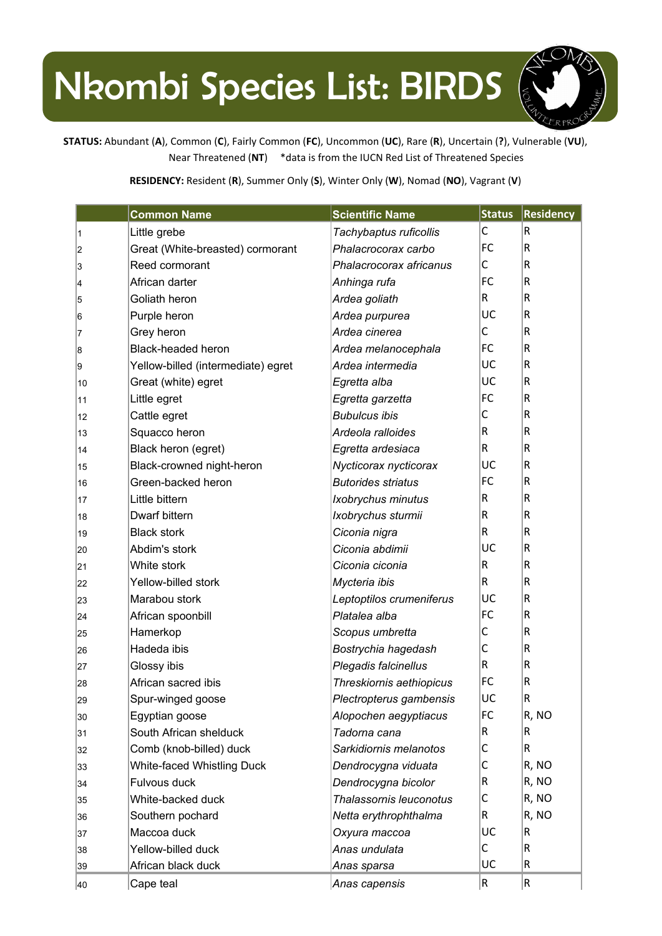## Nkombi Species List: BIRDS



**STATUS:** Abundant (**A**), Common (**C**), Fairly Common (**FC**), Uncommon (**UC**), Rare (**R**), Uncertain (**?**), Vulnerable (**VU**), Near Threatened (**NT**) \*data is from the IUCN Red List of Threatened Species

**RESIDENCY:** Resident (**R**), Summer Only (**S**), Winter Only (**W**), Nomad (**NO**), Vagrant (**V**)

|    | <b>Common Name</b>                 | <b>Scientific Name</b>    | <b>Status</b> | <b>Residency</b> |
|----|------------------------------------|---------------------------|---------------|------------------|
| 1  | Little grebe                       | Tachybaptus ruficollis    | С             | $\vert$ R        |
| 2  | Great (White-breasted) cormorant   | Phalacrocorax carbo       | FC            | R                |
| 3  | Reed cormorant                     | Phalacrocorax africanus   | С             | $\mathsf R$      |
| 4  | African darter                     | Anhinga rufa              | FC            | R                |
| 5  | Goliath heron                      | Ardea goliath             | R             | $\mathsf R$      |
| 6  | Purple heron                       | Ardea purpurea            | UC            | $\mathsf R$      |
| 7  | Grey heron                         | Ardea cinerea             | С             | $\mathsf R$      |
| 8  | <b>Black-headed heron</b>          | Ardea melanocephala       | FC            | R                |
| 9  | Yellow-billed (intermediate) egret | Ardea intermedia          | UC            | R                |
| 10 | Great (white) egret                | Egretta alba              | UC            | R                |
| 11 | Little egret                       | Egretta garzetta          | FC            | R                |
| 12 | Cattle egret                       | <b>Bubulcus ibis</b>      | С             | R                |
| 13 | Squacco heron                      | Ardeola ralloides         | $\mathsf R$   | $\mathsf R$      |
| 14 | Black heron (egret)                | Egretta ardesiaca         | $\mathsf R$   | R                |
| 15 | Black-crowned night-heron          | Nycticorax nycticorax     | UC            | R                |
| 16 | Green-backed heron                 | <b>Butorides striatus</b> | FC            | $\mathsf R$      |
| 17 | Little bittern                     | Ixobrychus minutus        | R             | $\mathsf R$      |
| 18 | Dwarf bittern                      | Ixobrychus sturmii        | $\mathsf R$   | R                |
| 19 | <b>Black stork</b>                 | Ciconia nigra             | R             | $\mathsf R$      |
| 20 | Abdim's stork                      | Ciconia abdimii           | UC            | $\mathsf R$      |
| 21 | White stork                        | Ciconia ciconia           | $\mathsf R$   | $\mathsf R$      |
| 22 | Yellow-billed stork                | Mycteria ibis             | R             | $\mathsf R$      |
| 23 | Marabou stork                      | Leptoptilos crumeniferus  | UC            | R                |
| 24 | African spoonbill                  | Platalea alba             | FC            | $\mathsf R$      |
| 25 | Hamerkop                           | Scopus umbretta           | С             | $\mathsf R$      |
| 26 | Hadeda ibis                        | Bostrychia hagedash       | С             | R                |
| 27 | Glossy ibis                        | Plegadis falcinellus      | R             | $\mathsf R$      |
| 28 | African sacred ibis                | Threskiornis aethiopicus  | FC            | $\mathsf R$      |
| 29 | Spur-winged goose                  | Plectropterus gambensis   | UC            | R                |
| 30 | Egyptian goose                     | Alopochen aegyptiacus     | FC            | R, NO            |
| 31 | South African shelduck             | Tadorna cana              | R             | R                |
| 32 | Comb (knob-billed) duck            | Sarkidiornis melanotos    | С             | R                |
| 33 | <b>White-faced Whistling Duck</b>  | Dendrocygna viduata       | С             | R, NO            |
| 34 | Fulvous duck                       | Dendrocygna bicolor       | R             | R, NO            |
| 35 | White-backed duck                  | Thalassornis leuconotus   | С             | R, NO            |
| 36 | Southern pochard                   | Netta erythrophthalma     | R             | R, NO            |
| 37 | Maccoa duck                        | Oxyura maccoa             | UC            | R.               |
| 38 | Yellow-billed duck                 | Anas undulata             | C             | $\vert$ R        |
| 39 | African black duck                 | Anas sparsa               | UC            | R                |
| 40 | Cape teal                          | Anas capensis             | R             | R                |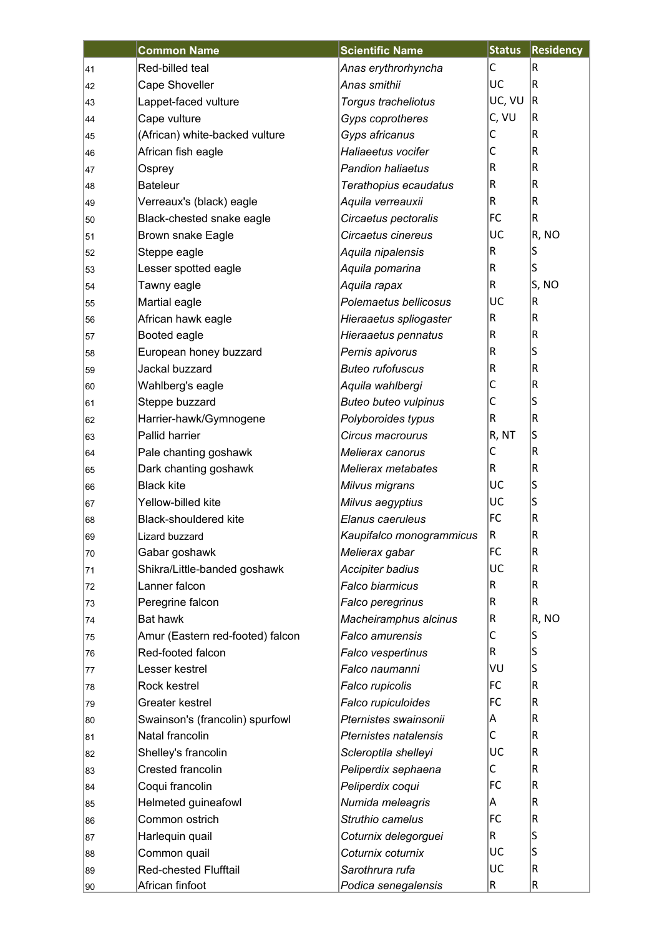|    | <b>Common Name</b>               | <b>Scientific Name</b>       | <b>Status</b> | <b>Residency</b> |
|----|----------------------------------|------------------------------|---------------|------------------|
| 41 | Red-billed teal                  | Anas erythrorhyncha          | C             | R                |
| 42 | Cape Shoveller                   | Anas smithii                 | UC            | R                |
| 43 | Lappet-faced vulture             | Torgus tracheliotus          | UC, VU        | R                |
| 44 | Cape vulture                     | Gyps coprotheres             | C, VU         | R                |
| 45 | (African) white-backed vulture   | Gyps africanus               | С             | R                |
| 46 | African fish eagle               | Haliaeetus vocifer           | C             | R                |
| 47 | Osprey                           | <b>Pandion haliaetus</b>     | R             | R                |
| 48 | <b>Bateleur</b>                  | Terathopius ecaudatus        | R             | R                |
| 49 | Verreaux's (black) eagle         | Aquila verreauxii            | R             | R                |
| 50 | Black-chested snake eagle        | Circaetus pectoralis         | FC            | R                |
| 51 | <b>Brown snake Eagle</b>         | Circaetus cinereus           | UC            | R, NO            |
| 52 | Steppe eagle                     | Aquila nipalensis            | R             | S                |
| 53 | Lesser spotted eagle             | Aquila pomarina              | R             | S                |
| 54 | Tawny eagle                      | Aquila rapax                 | R             | S, NO            |
| 55 | Martial eagle                    | Polemaetus bellicosus        | UC            | R                |
| 56 | African hawk eagle               | Hieraaetus spliogaster       | R             | R                |
| 57 | Booted eagle                     | Hieraaetus pennatus          | $\mathsf R$   | $\mathsf R$      |
| 58 | European honey buzzard           | Pernis apivorus              | R             | S                |
| 59 | Jackal buzzard                   | <b>Buteo rufofuscus</b>      | $\mathsf R$   | R                |
| 60 | Wahlberg's eagle                 | Aquila wahlbergi             | C             | R                |
| 61 | Steppe buzzard                   | <b>Buteo buteo vulpinus</b>  | С             | S                |
| 62 | Harrier-hawk/Gymnogene           | Polyboroides typus           | R             | R                |
| 63 | Pallid harrier                   | Circus macrourus             | R, NT         | S                |
| 64 | Pale chanting goshawk            | Melierax canorus             | C             | R                |
| 65 | Dark chanting goshawk            | Melierax metabates           | R             | $\mathsf R$      |
| 66 | <b>Black kite</b>                | Milvus migrans               | UC            | S                |
| 67 | Yellow-billed kite               | Milvus aegyptius             | UC            | S                |
| 68 | <b>Black-shouldered kite</b>     | Elanus caeruleus             | FC            | $\mathsf R$      |
| 69 | Lizard buzzard                   | Kaupifalco monogrammicus     | R             | R                |
| 70 | Gabar goshawk                    | Melierax gabar               | FC            | R                |
| 71 | Shikra/Little-banded goshawk     | <b>Accipiter badius</b>      | UC            | R                |
| 72 | Lanner falcon                    | Falco biarmicus              | R             | R                |
| 73 | Peregrine falcon                 | Falco peregrinus             | R             | R                |
| 74 | Bat hawk                         | Macheiramphus alcinus        | R             | R, NO            |
| 75 | Amur (Eastern red-footed) falcon | <b>Falco amurensis</b>       | С             | S                |
| 76 | Red-footed falcon                | Falco vespertinus            | R             | S                |
| 77 | Lesser kestrel                   | Falco naumanni               | VU            | S                |
| 78 | Rock kestrel                     | Falco rupicolis              | FC            | R                |
| 79 | Greater kestrel                  | Falco rupiculoides           | FC            | R                |
| 80 | Swainson's (francolin) spurfowl  | Pternistes swainsonii        | A             | R                |
| 81 | Natal francolin                  | <b>Pternistes natalensis</b> | С             | R                |
| 82 | Shelley's francolin              | Scleroptila shelleyi         | UC            | R                |
| 83 | Crested francolin                | Peliperdix sephaena          | C             | R                |
| 84 | Coqui francolin                  | Peliperdix coqui             | FC            | R                |
| 85 | Helmeted guineafowl              | Numida meleagris             | A             | R                |
| 86 | Common ostrich                   | Struthio camelus             | FC            | R                |
| 87 | Harlequin quail                  | Coturnix delegorguei         | R             | S                |
| 88 | Common quail                     | Coturnix coturnix            | UC            | S                |
| 89 | <b>Red-chested Flufftail</b>     | Sarothrura rufa              | UC            | R                |
| 90 | African finfoot                  | Podica senegalensis          | R             | R                |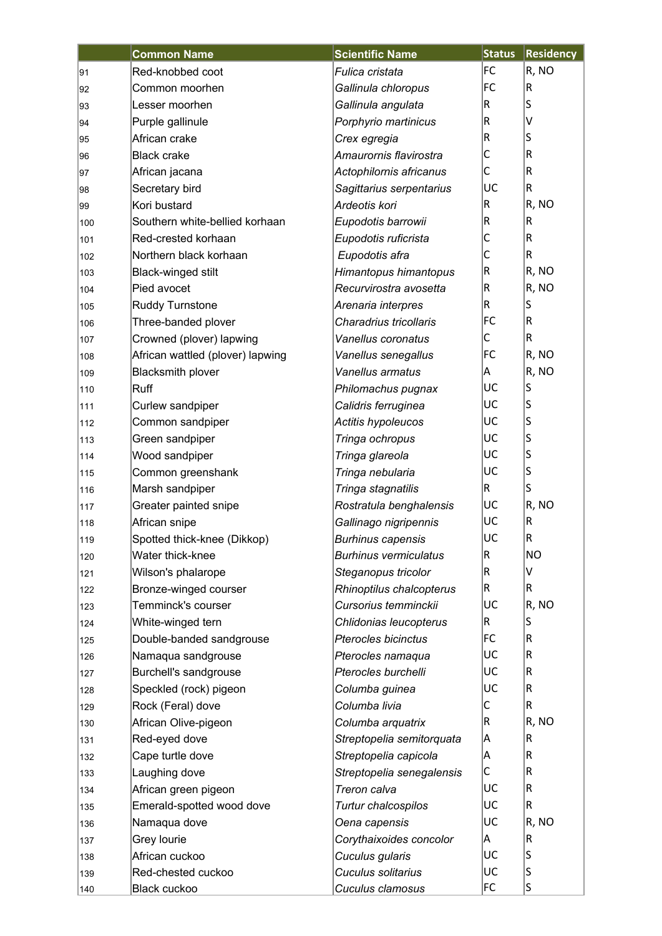|     | <b>Common Name</b>               | <b>Scientific Name</b>       | <b>Status</b> | <b>Residency</b>        |
|-----|----------------------------------|------------------------------|---------------|-------------------------|
| 91  | Red-knobbed coot                 | Fulica cristata              | FC            | R, NO                   |
| 92  | Common moorhen                   | Gallinula chloropus          | FC            | IR                      |
| 93  | Lesser moorhen                   | Gallinula angulata           | R             | S                       |
| 94  | Purple gallinule                 | Porphyrio martinicus         | R             | v                       |
| 95  | African crake                    | Crex egregia                 | R             | S                       |
| 96  | <b>Black crake</b>               | Amaurornis flavirostra       | С             | $\sf R$                 |
| 97  | African jacana                   | Actophilornis africanus      | С             | R.                      |
| 98  | Secretary bird                   | Sagittarius serpentarius     | UC            | R.                      |
| 99  | Kori bustard                     | Ardeotis kori                | R             | R, NO                   |
| 100 | Southern white-bellied korhaan   | Eupodotis barrowii           | R             | R.                      |
| 101 | Red-crested korhaan              | Eupodotis ruficrista         | С             | R                       |
| 102 | Northern black korhaan           | Eupodotis afra               | С             | R.                      |
| 103 | Black-winged stilt               | Himantopus himantopus        | R             | R, NO                   |
| 104 | Pied avocet                      | Recurvirostra avosetta       | R             | R, NO                   |
| 105 | <b>Ruddy Turnstone</b>           | Arenaria interpres           | R             | S                       |
| 106 | Three-banded plover              | Charadrius tricollaris       | FC            | R.                      |
| 107 | Crowned (plover) lapwing         | Vanellus coronatus           | С             | R.                      |
| 108 | African wattled (plover) lapwing | Vanellus senegallus          | FC            | R, NO                   |
| 109 | <b>Blacksmith plover</b>         | Vanellus armatus             | Α             | R, NO                   |
| 110 | Ruff                             | Philomachus pugnax           | UC            | S                       |
| 111 | Curlew sandpiper                 | Calidris ferruginea          | UC            | $\sf S$                 |
| 112 | Common sandpiper                 | Actitis hypoleucos           | UC            | $\sf S$                 |
| 113 | Green sandpiper                  | Tringa ochropus              | UC            | $\overline{\mathsf{s}}$ |
| 114 | Wood sandpiper                   | Tringa glareola              | UC            | $\sf S$                 |
| 115 | Common greenshank                | Tringa nebularia             | UC            | S                       |
| 116 | Marsh sandpiper                  | Tringa stagnatilis           | R             | S                       |
| 117 | Greater painted snipe            | Rostratula benghalensis      | UC            | R, NO                   |
| 118 | African snipe                    | Gallinago nigripennis        | UC            | $\sf R$                 |
| 119 | Spotted thick-knee (Dikkop)      | <b>Burhinus capensis</b>     | UC            | R                       |
| 120 | Water thick-knee                 | <b>Burhinus vermiculatus</b> | R             | <b>NO</b>               |
| 121 | Wilson's phalarope               | Steganopus tricolor          | R             | v                       |
| 122 | Bronze-winged courser            | Rhinoptilus chalcopterus     | R             | R                       |
| 123 | Temminck's courser               | Cursorius temminckii         | UC            | R, NO                   |
| 124 | White-winged tern                | Chlidonias leucopterus       | R             | S                       |
| 125 | Double-banded sandgrouse         | Pterocles bicinctus          | FC            | R                       |
| 126 | Namaqua sandgrouse               | Pterocles namaqua            | UC            | R                       |
| 127 | Burchell's sandgrouse            | Pterocles burchelli          | UC            | R                       |
| 128 | Speckled (rock) pigeon           | Columba guinea               | UC            | R                       |
| 129 | Rock (Feral) dove                | Columba livia                | С             | R.                      |
| 130 | African Olive-pigeon             | Columba arquatrix            | R             | R, NO                   |
| 131 | Red-eyed dove                    | Streptopelia semitorquata    | Α             | R.                      |
| 132 | Cape turtle dove                 | Streptopelia capicola        | Α             | R.                      |
| 133 | Laughing dove                    | Streptopelia senegalensis    | С             | R.                      |
| 134 | African green pigeon             | Treron calva                 | UC            | R                       |
| 135 | Emerald-spotted wood dove        | Turtur chalcospilos          | UC            | R.                      |
| 136 | Namaqua dove                     | Oena capensis                | UC            | R, NO                   |
| 137 | Grey lourie                      | Corythaixoides concolor      | A             | $\sf R$                 |
| 138 | African cuckoo                   | Cuculus gularis              | UC            | S                       |
| 139 | Red-chested cuckoo               | Cuculus solitarius           | UC            | S                       |
| 140 | Black cuckoo                     | Cuculus clamosus             | FC            | S                       |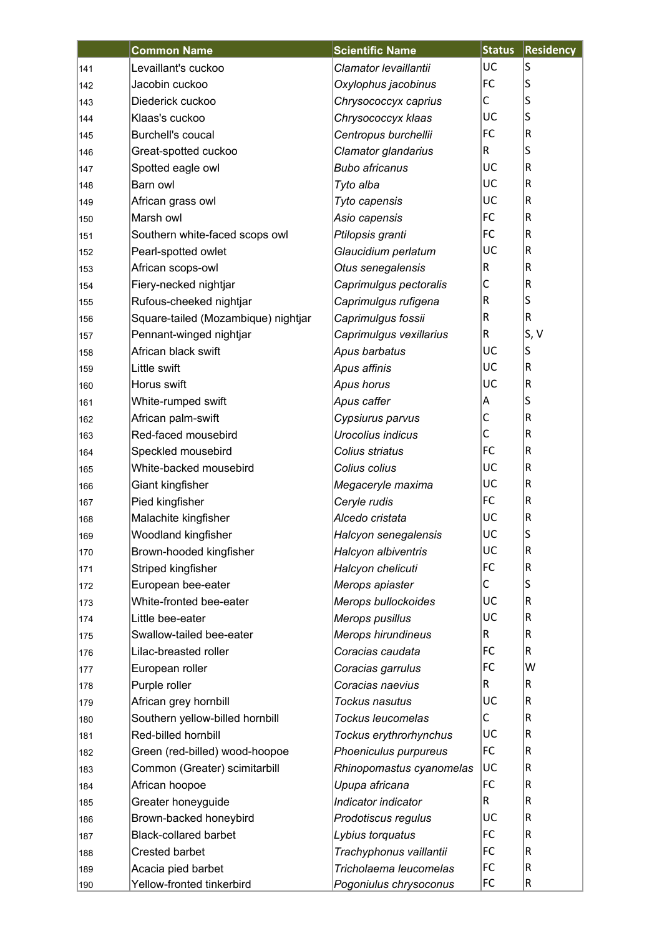|     | <b>Common Name</b>                  | <b>Scientific Name</b>    | <b>Status</b> | <b>Residency</b> |
|-----|-------------------------------------|---------------------------|---------------|------------------|
| 141 | Levaillant's cuckoo                 | Clamator levaillantii     | UC            | S                |
| 142 | Jacobin cuckoo                      | Oxylophus jacobinus       | FC            | S                |
| 143 | Diederick cuckoo                    | Chrysococcyx caprius      | С             | S                |
| 144 | Klaas's cuckoo                      | Chrysococcyx klaas        | UC            | S                |
| 145 | <b>Burchell's coucal</b>            | Centropus burchellii      | FC            | $\mathsf R$      |
| 146 | Great-spotted cuckoo                | Clamator glandarius       | R             | S                |
| 147 | Spotted eagle owl                   | <b>Bubo africanus</b>     | UC            | $\mathsf R$      |
| 148 | Barn owl                            | Tyto alba                 | UC            | $\mathsf R$      |
| 149 | African grass owl                   | Tyto capensis             | UC            | $\mathsf R$      |
| 150 | Marsh owl                           | Asio capensis             | FC            | $\mathsf R$      |
| 151 | Southern white-faced scops owl      | Ptilopsis granti          | FC            | R                |
| 152 | Pearl-spotted owlet                 | Glaucidium perlatum       | UC            | $\mathsf R$      |
| 153 | African scops-owl                   | Otus senegalensis         | R             | $\mathsf R$      |
| 154 | Fiery-necked nightjar               | Caprimulgus pectoralis    | C             | $\mathsf R$      |
| 155 | Rufous-cheeked nightjar             | Caprimulgus rufigena      | R             | S                |
| 156 | Square-tailed (Mozambique) nightjar | Caprimulgus fossii        | R             | $\mathsf R$      |
| 157 | Pennant-winged nightjar             | Caprimulgus vexillarius   | R             | S, V             |
| 158 | African black swift                 | Apus barbatus             | UC            | S                |
| 159 | Little swift                        | Apus affinis              | UC            | R                |
| 160 | Horus swift                         | Apus horus                | UC            | $\mathsf R$      |
| 161 | White-rumped swift                  | Apus caffer               | Α             | S                |
| 162 | African palm-swift                  | Cypsiurus parvus          | C             | $\mathsf R$      |
| 163 | Red-faced mousebird                 | Urocolius indicus         | $\mathsf{C}$  | R                |
| 164 | Speckled mousebird                  | Colius striatus           | FC            | $\mathsf R$      |
| 165 | White-backed mousebird              | Colius colius             | UC            | $\mathsf R$      |
| 166 | Giant kingfisher                    | Megaceryle maxima         | UC            | $\mathsf R$      |
| 167 | Pied kingfisher                     | Ceryle rudis              | FC            | $\mathsf R$      |
| 168 | Malachite kingfisher                | Alcedo cristata           | UC            | $\mathsf R$      |
| 169 | Woodland kingfisher                 | Halcyon senegalensis      | UC            | ls               |
| 170 | Brown-hooded kingfisher             | Halcyon albiventris       | UC            | $\mathsf R$      |
| 171 | Striped kingfisher                  | Halcyon chelicuti         | FC            | $\mathsf R$      |
| 172 | European bee-eater                  | Merops apiaster           | С             | S                |
| 173 | White-fronted bee-eater             | Merops bullockoides       | UC            | $\mathsf R$      |
| 174 | Little bee-eater                    | Merops pusillus           | UC            | $\mathsf R$      |
| 175 | Swallow-tailed bee-eater            | <b>Merops hirundineus</b> | R             | $\mathsf R$      |
| 176 | Lilac-breasted roller               | Coracias caudata          | FC            | R                |
| 177 | European roller                     | Coracias garrulus         | FC            | W                |
| 178 | Purple roller                       | Coracias naevius          | R             | R                |
| 179 | African grey hornbill               | Tockus nasutus            | UC            | $\mathsf R$      |
| 180 | Southern yellow-billed hornbill     | Tockus leucomelas         | С             | $\mathsf R$      |
| 181 | Red-billed hornbill                 | Tockus erythrorhynchus    | UC            | $\mathsf R$      |
| 182 | Green (red-billed) wood-hoopoe      | Phoeniculus purpureus     | FC            | $\mathsf R$      |
| 183 | Common (Greater) scimitarbill       | Rhinopomastus cyanomelas  | UC            | $\mathsf R$      |
| 184 | African hoopoe                      | Upupa africana            | FC            | $\mathsf R$      |
| 185 | Greater honeyguide                  | Indicator indicator       | R             | $\mathsf R$      |
| 186 | Brown-backed honeybird              | Prodotiscus regulus       | UC            | $\mathsf R$      |
| 187 | <b>Black-collared barbet</b>        | Lybius torquatus          | FC            | $\mathsf R$      |
| 188 | <b>Crested barbet</b>               | Trachyphonus vaillantii   | FC            | $\mathsf R$      |
| 189 | Acacia pied barbet                  | Tricholaema leucomelas    | FC            | $\mathsf R$      |
| 190 | Yellow-fronted tinkerbird           | Pogoniulus chrysoconus    | FC            | R                |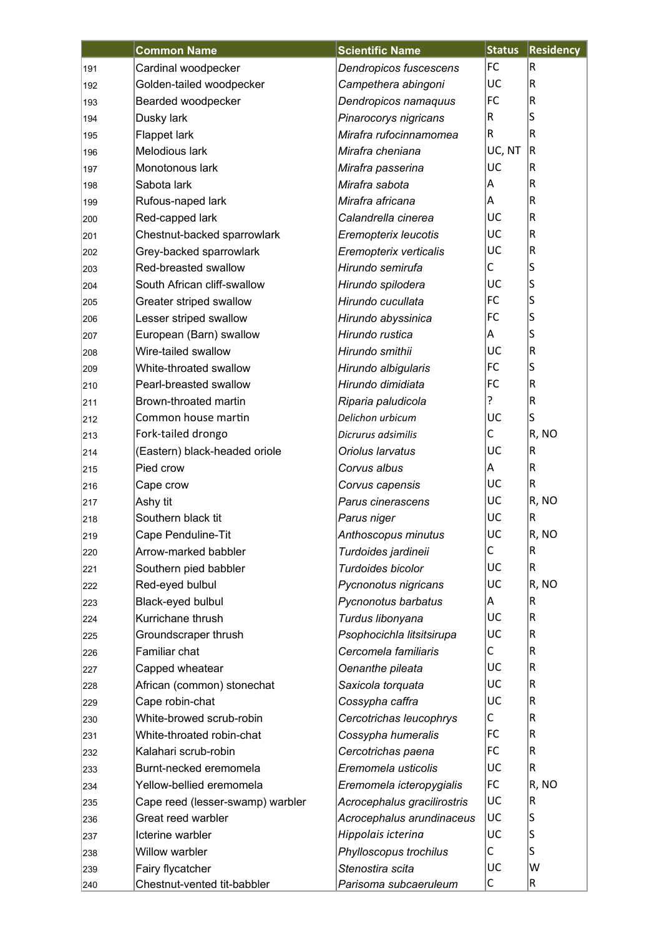|     | <b>Common Name</b>               | <b>Scientific Name</b>      | <b>Status</b> | <b>Residency</b> |
|-----|----------------------------------|-----------------------------|---------------|------------------|
| 191 | Cardinal woodpecker              | Dendropicos fuscescens      | FC            | R                |
| 192 | Golden-tailed woodpecker         | Campethera abingoni         | UC            | R                |
| 193 | Bearded woodpecker               | Dendropicos namaquus        | FC            | R                |
| 194 | Dusky lark                       | Pinarocorys nigricans       | R             | S                |
| 195 | Flappet lark                     | Mirafra rufocinnamomea      | $\vert$ R     | R                |
| 196 | Melodious lark                   | Mirafra cheniana            | UC, NT        | R                |
| 197 | Monotonous lark                  | Mirafra passerina           | UC            | R                |
| 198 | Sabota lark                      | Mirafra sabota              | Α             | R                |
| 199 | Rufous-naped lark                | Mirafra africana            | A             | R                |
| 200 | Red-capped lark                  | Calandrella cinerea         | UC            | R                |
| 201 | Chestnut-backed sparrowlark      | Eremopterix leucotis        | UC            | R                |
| 202 | Grey-backed sparrowlark          | Eremopterix verticalis      | UC            | R                |
| 203 | Red-breasted swallow             | Hirundo semirufa            | C             | S                |
| 204 | South African cliff-swallow      | Hirundo spilodera           | UC            | S                |
| 205 | Greater striped swallow          | Hirundo cucullata           | FC            | S                |
| 206 | Lesser striped swallow           | Hirundo abyssinica          | FC            | S                |
| 207 | European (Barn) swallow          | Hirundo rustica             | A             | S                |
| 208 | Wire-tailed swallow              | Hirundo smithii             | UC            | R                |
| 209 | White-throated swallow           | Hirundo albigularis         | FC            | S                |
| 210 | Pearl-breasted swallow           | Hirundo dimidiata           | FC            | R                |
| 211 | Brown-throated martin            | Riparia paludicola          | ?             | R                |
| 212 | Common house martin              | Delichon urbicum            | UC            | S                |
| 213 | Fork-tailed drongo               | Dicrurus adsimilis          | С             | R, NO            |
| 214 | (Eastern) black-headed oriole    | Oriolus larvatus            | UC            | R                |
| 215 | Pied crow                        | Corvus albus                | A             | R                |
| 216 | Cape crow                        | Corvus capensis             | UC            | R                |
| 217 | Ashy tit                         | Parus cinerascens           | UC            | R, NO            |
| 218 | Southern black tit               | Parus niger                 | UC            | R                |
| 219 | Cape Penduline-Tit               | Anthoscopus minutus         | luc           | R, NO            |
| 220 | Arrow-marked babbler             | Turdoides jardineii         | C             | R                |
| 221 | Southern pied babbler            | Turdoides bicolor           | UC            | R                |
| 222 | Red-eyed bulbul                  | Pycnonotus nigricans        | UC            | R, NO            |
| 223 | Black-eyed bulbul                | Pycnonotus barbatus         | A             | R                |
| 224 | Kurrichane thrush                | Turdus libonyana            | UC            | R                |
| 225 | Groundscraper thrush             | Psophocichla litsitsirupa   | UC            | R                |
| 226 | Familiar chat                    | Cercomela familiaris        | С             | R                |
| 227 | Capped wheatear                  | Oenanthe pileata            | UC            | R                |
| 228 | African (common) stonechat       | Saxicola torquata           | UC            | R                |
| 229 | Cape robin-chat                  | Cossypha caffra             | UC            | R                |
| 230 | White-browed scrub-robin         | Cercotrichas leucophrys     | С             | R                |
| 231 | White-throated robin-chat        | Cossypha humeralis          | FC            | R                |
| 232 | Kalahari scrub-robin             | Cercotrichas paena          | FC            | R                |
| 233 | Burnt-necked eremomela           | Eremomela usticolis         | UC            | R                |
| 234 | Yellow-bellied eremomela         | Eremomela icteropygialis    | FC            | R, NO            |
| 235 | Cape reed (lesser-swamp) warbler | Acrocephalus gracilirostris | UC            | R                |
| 236 | Great reed warbler               | Acrocephalus arundinaceus   | UC            | S                |
| 237 | Icterine warbler                 | Hippolais icterina          | UC            | S                |
| 238 | Willow warbler                   | Phylloscopus trochilus      | С             | S                |
| 239 | Fairy flycatcher                 | Stenostira scita            | UC            | W                |
| 240 | Chestnut-vented tit-babbler      | Parisoma subcaeruleum       | C             | R                |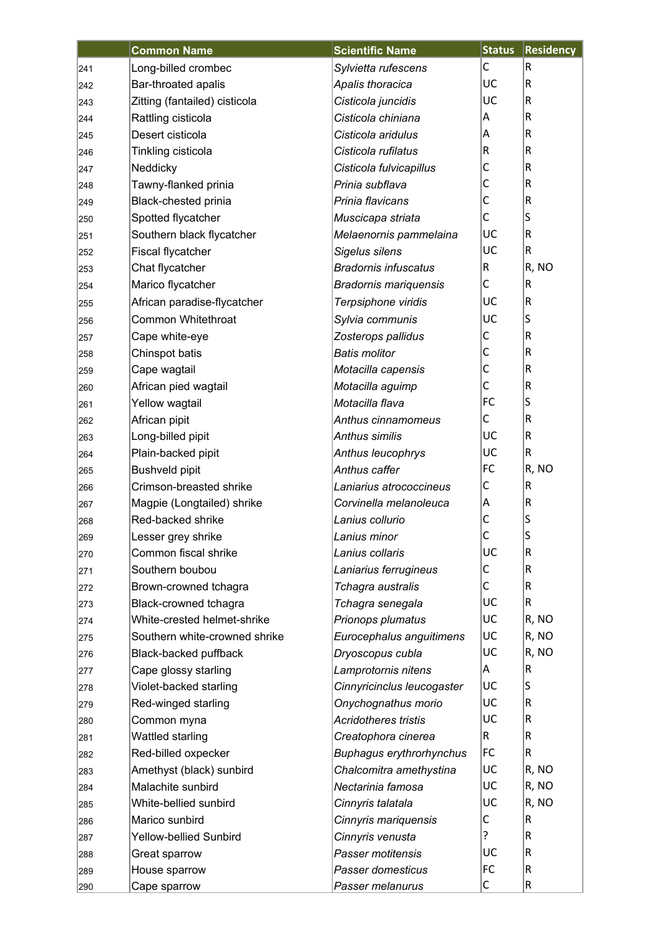|     | <b>Common Name</b>            | <b>Scientific Name</b>          | <b>Status</b> | <b>Residency</b> |
|-----|-------------------------------|---------------------------------|---------------|------------------|
| 241 | Long-billed crombec           | Sylvietta rufescens             | C             | R                |
| 242 | Bar-throated apalis           | Apalis thoracica                | UC            | R                |
| 243 | Zitting (fantailed) cisticola | Cisticola juncidis              | UC            | R                |
| 244 | Rattling cisticola            | Cisticola chiniana              | Α             | R                |
| 245 | Desert cisticola              | Cisticola aridulus              | Α             | R                |
| 246 | Tinkling cisticola            | Cisticola rufilatus             | R             | R                |
| 247 | Neddicky                      | Cisticola fulvicapillus         | $\mathsf{C}$  | R                |
| 248 | Tawny-flanked prinia          | Prinia subflava                 | C             | R                |
| 249 | Black-chested prinia          | Prinia flavicans                | $\mathsf{C}$  | R                |
| 250 | Spotted flycatcher            | Muscicapa striata               | C             | S                |
| 251 | Southern black flycatcher     | Melaenornis pammelaina          | UC            | R                |
| 252 | Fiscal flycatcher             | Sigelus silens                  | UC            | R                |
| 253 | Chat flycatcher               | <b>Bradornis infuscatus</b>     | $\mathsf R$   | R, NO            |
| 254 | Marico flycatcher             | <b>Bradornis mariquensis</b>    | С             | R                |
| 255 | African paradise-flycatcher   | Terpsiphone viridis             | UC            | R                |
| 256 | <b>Common Whitethroat</b>     | Sylvia communis                 | UC            | S                |
| 257 | Cape white-eye                | Zosterops pallidus              | C             | R                |
| 258 | Chinspot batis                | <b>Batis molitor</b>            | C             | R                |
| 259 | Cape wagtail                  | Motacilla capensis              | $\mathsf C$   | R                |
| 260 | African pied wagtail          | Motacilla aguimp                | C             | R                |
| 261 | Yellow wagtail                | Motacilla flava                 | FC            | S                |
| 262 | African pipit                 | Anthus cinnamomeus              | С             | R                |
| 263 | Long-billed pipit             | Anthus similis                  | UC            | R                |
| 264 | Plain-backed pipit            | Anthus leucophrys               | UC            | R                |
| 265 | <b>Bushveld pipit</b>         | Anthus caffer                   | FC            | R, NO            |
| 266 | Crimson-breasted shrike       | Laniarius atrococcineus         | C             | R                |
| 267 | Magpie (Longtailed) shrike    | Corvinella melanoleuca          | Α             | R                |
| 268 | Red-backed shrike             | Lanius collurio                 | C             | S                |
| 269 | Lesser grey shrike            | Lanius minor                    | $\mathsf{C}$  | S                |
| 270 | Common fiscal shrike          | Lanius collaris                 | UC            | R                |
| 271 | Southern boubou               | Laniarius ferrugineus           | С             | R                |
| 272 | Brown-crowned tchagra         | Tchagra australis               | C             | R                |
| 273 | Black-crowned tchagra         | Tchagra senegala                | UC            | R                |
| 274 | White-crested helmet-shrike   | Prionops plumatus               | UC            | R, NO            |
| 275 | Southern white-crowned shrike | Eurocephalus anguitimens        | UC            | R, NO            |
| 276 | Black-backed puffback         | Dryoscopus cubla                | UC            | R, NO            |
| 277 | Cape glossy starling          | Lamprotornis nitens             | A             | R                |
| 278 | Violet-backed starling        | Cinnyricinclus leucogaster      | UC            | S                |
| 279 | Red-winged starling           | Onychognathus morio             | UC            | R                |
| 280 | Common myna                   | <b>Acridotheres tristis</b>     | UC            | R                |
| 281 | Wattled starling              | Creatophora cinerea             | R.            | R                |
| 282 | Red-billed oxpecker           | <b>Buphagus erythrorhynchus</b> | FC            | R                |
| 283 | Amethyst (black) sunbird      | Chalcomitra amethystina         | UC            | R, NO            |
| 284 | Malachite sunbird             | Nectarinia famosa               | UC            | R, NO            |
| 285 | White-bellied sunbird         | Cinnyris talatala               | UC            | R, NO            |
| 286 | Marico sunbird                | Cinnyris mariquensis            | С             | R                |
| 287 | Yellow-bellied Sunbird        | Cinnyris venusta                | ?             | R                |
| 288 | Great sparrow                 | Passer motitensis               | UC            | R                |
| 289 | House sparrow                 | Passer domesticus               | FC            | R                |
| 290 | Cape sparrow                  | Passer melanurus                | С             | R                |